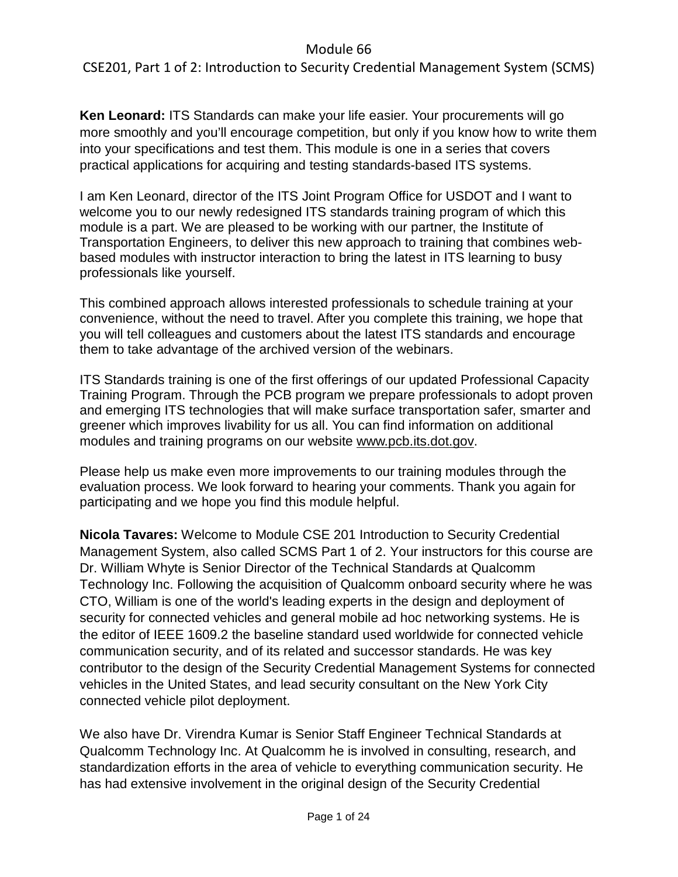CSE201, Part 1 of 2: Introduction to Security Credential Management System (SCMS)

**Ken Leonard:** ITS Standards can make your life easier. Your procurements will go more smoothly and you'll encourage competition, but only if you know how to write them into your specifications and test them. This module is one in a series that covers practical applications for acquiring and testing standards-based ITS systems.

I am Ken Leonard, director of the ITS Joint Program Office for USDOT and I want to welcome you to our newly redesigned ITS standards training program of which this module is a part. We are pleased to be working with our partner, the Institute of Transportation Engineers, to deliver this new approach to training that combines webbased modules with instructor interaction to bring the latest in ITS learning to busy professionals like yourself.

This combined approach allows interested professionals to schedule training at your convenience, without the need to travel. After you complete this training, we hope that you will tell colleagues and customers about the latest ITS standards and encourage them to take advantage of the archived version of the webinars.

ITS Standards training is one of the first offerings of our updated Professional Capacity Training Program. Through the PCB program we prepare professionals to adopt proven and emerging ITS technologies that will make surface transportation safer, smarter and greener which improves livability for us all. You can find information on additional modules and training programs on our website [www.pcb.its.dot.gov.](http://www.pcb.its.dot.gov/)

Please help us make even more improvements to our training modules through the evaluation process. We look forward to hearing your comments. Thank you again for participating and we hope you find this module helpful.

**Nicola Tavares:** Welcome to Module CSE 201 Introduction to Security Credential Management System, also called SCMS Part 1 of 2. Your instructors for this course are Dr. William Whyte is Senior Director of the Technical Standards at Qualcomm Technology Inc. Following the acquisition of Qualcomm onboard security where he was CTO, William is one of the world's leading experts in the design and deployment of security for connected vehicles and general mobile ad hoc networking systems. He is the editor of IEEE 1609.2 the baseline standard used worldwide for connected vehicle communication security, and of its related and successor standards. He was key contributor to the design of the Security Credential Management Systems for connected vehicles in the United States, and lead security consultant on the New York City connected vehicle pilot deployment.

We also have Dr. Virendra Kumar is Senior Staff Engineer Technical Standards at Qualcomm Technology Inc. At Qualcomm he is involved in consulting, research, and standardization efforts in the area of vehicle to everything communication security. He has had extensive involvement in the original design of the Security Credential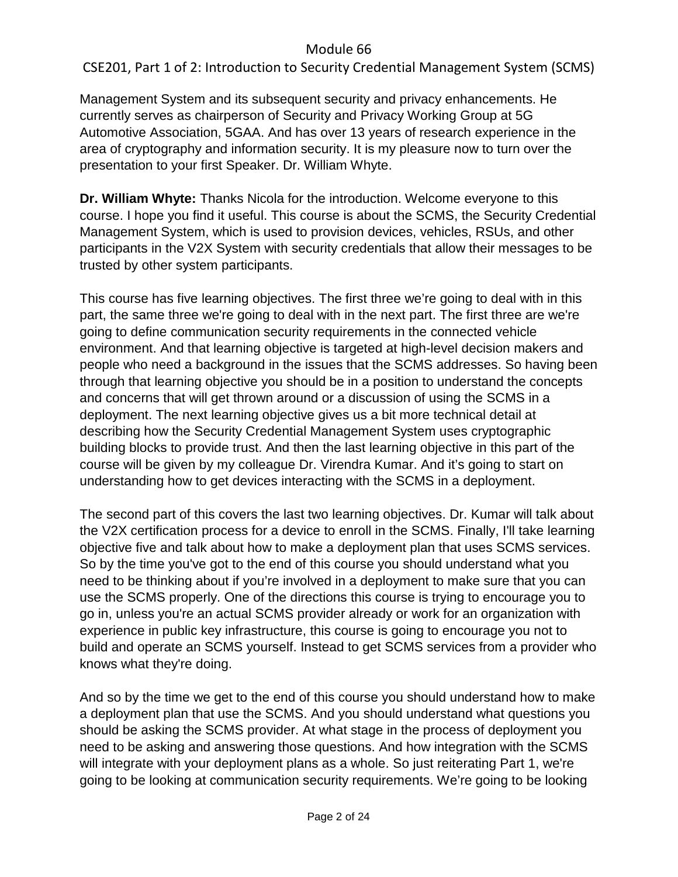CSE201, Part 1 of 2: Introduction to Security Credential Management System (SCMS)

Management System and its subsequent security and privacy enhancements. He currently serves as chairperson of Security and Privacy Working Group at 5G Automotive Association, 5GAA. And has over 13 years of research experience in the area of cryptography and information security. It is my pleasure now to turn over the presentation to your first Speaker. Dr. William Whyte.

**Dr. William Whyte:** Thanks Nicola for the introduction. Welcome everyone to this course. I hope you find it useful. This course is about the SCMS, the Security Credential Management System, which is used to provision devices, vehicles, RSUs, and other participants in the V2X System with security credentials that allow their messages to be trusted by other system participants.

This course has five learning objectives. The first three we're going to deal with in this part, the same three we're going to deal with in the next part. The first three are we're going to define communication security requirements in the connected vehicle environment. And that learning objective is targeted at high-level decision makers and people who need a background in the issues that the SCMS addresses. So having been through that learning objective you should be in a position to understand the concepts and concerns that will get thrown around or a discussion of using the SCMS in a deployment. The next learning objective gives us a bit more technical detail at describing how the Security Credential Management System uses cryptographic building blocks to provide trust. And then the last learning objective in this part of the course will be given by my colleague Dr. Virendra Kumar. And it's going to start on understanding how to get devices interacting with the SCMS in a deployment.

The second part of this covers the last two learning objectives. Dr. Kumar will talk about the V2X certification process for a device to enroll in the SCMS. Finally, I'll take learning objective five and talk about how to make a deployment plan that uses SCMS services. So by the time you've got to the end of this course you should understand what you need to be thinking about if you're involved in a deployment to make sure that you can use the SCMS properly. One of the directions this course is trying to encourage you to go in, unless you're an actual SCMS provider already or work for an organization with experience in public key infrastructure, this course is going to encourage you not to build and operate an SCMS yourself. Instead to get SCMS services from a provider who knows what they're doing.

And so by the time we get to the end of this course you should understand how to make a deployment plan that use the SCMS. And you should understand what questions you should be asking the SCMS provider. At what stage in the process of deployment you need to be asking and answering those questions. And how integration with the SCMS will integrate with your deployment plans as a whole. So just reiterating Part 1, we're going to be looking at communication security requirements. We're going to be looking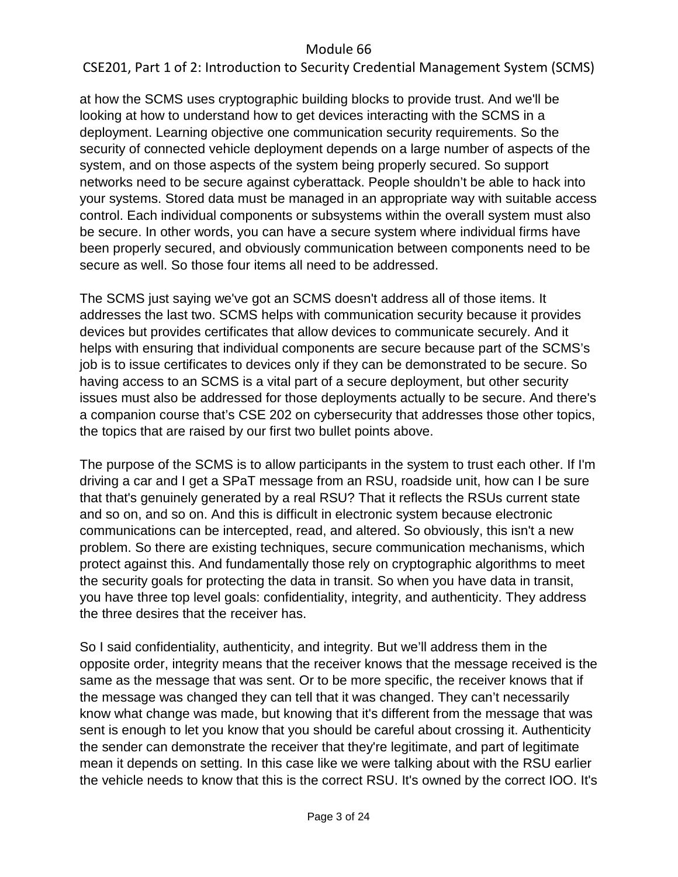# CSE201, Part 1 of 2: Introduction to Security Credential Management System (SCMS)

at how the SCMS uses cryptographic building blocks to provide trust. And we'll be looking at how to understand how to get devices interacting with the SCMS in a deployment. Learning objective one communication security requirements. So the security of connected vehicle deployment depends on a large number of aspects of the system, and on those aspects of the system being properly secured. So support networks need to be secure against cyberattack. People shouldn't be able to hack into your systems. Stored data must be managed in an appropriate way with suitable access control. Each individual components or subsystems within the overall system must also be secure. In other words, you can have a secure system where individual firms have been properly secured, and obviously communication between components need to be secure as well. So those four items all need to be addressed.

The SCMS just saying we've got an SCMS doesn't address all of those items. It addresses the last two. SCMS helps with communication security because it provides devices but provides certificates that allow devices to communicate securely. And it helps with ensuring that individual components are secure because part of the SCMS's job is to issue certificates to devices only if they can be demonstrated to be secure. So having access to an SCMS is a vital part of a secure deployment, but other security issues must also be addressed for those deployments actually to be secure. And there's a companion course that's CSE 202 on cybersecurity that addresses those other topics, the topics that are raised by our first two bullet points above.

The purpose of the SCMS is to allow participants in the system to trust each other. If I'm driving a car and I get a SPaT message from an RSU, roadside unit, how can I be sure that that's genuinely generated by a real RSU? That it reflects the RSUs current state and so on, and so on. And this is difficult in electronic system because electronic communications can be intercepted, read, and altered. So obviously, this isn't a new problem. So there are existing techniques, secure communication mechanisms, which protect against this. And fundamentally those rely on cryptographic algorithms to meet the security goals for protecting the data in transit. So when you have data in transit, you have three top level goals: confidentiality, integrity, and authenticity. They address the three desires that the receiver has.

So I said confidentiality, authenticity, and integrity. But we'll address them in the opposite order, integrity means that the receiver knows that the message received is the same as the message that was sent. Or to be more specific, the receiver knows that if the message was changed they can tell that it was changed. They can't necessarily know what change was made, but knowing that it's different from the message that was sent is enough to let you know that you should be careful about crossing it. Authenticity the sender can demonstrate the receiver that they're legitimate, and part of legitimate mean it depends on setting. In this case like we were talking about with the RSU earlier the vehicle needs to know that this is the correct RSU. It's owned by the correct IOO. It's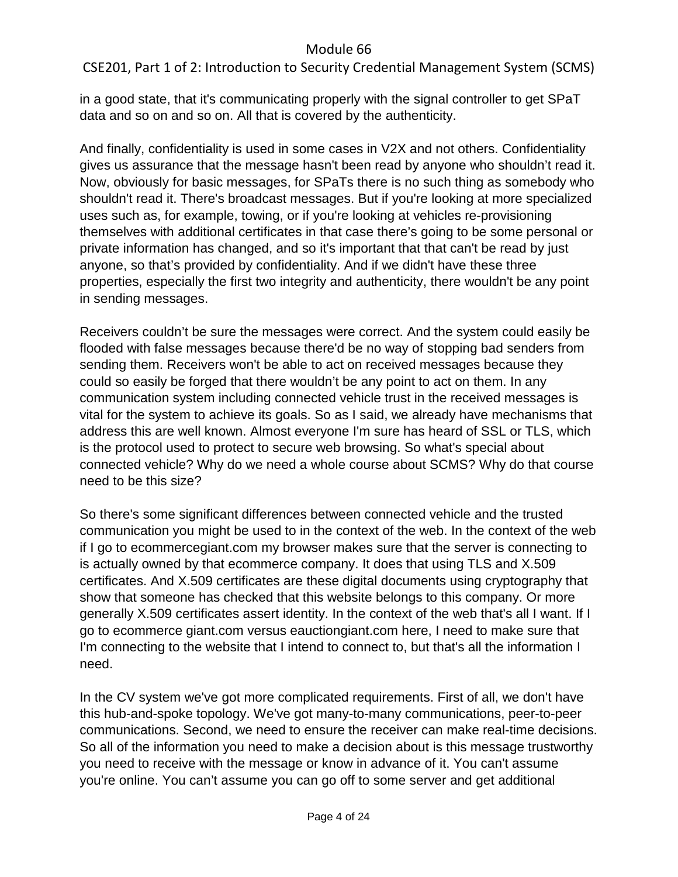CSE201, Part 1 of 2: Introduction to Security Credential Management System (SCMS)

in a good state, that it's communicating properly with the signal controller to get SPaT data and so on and so on. All that is covered by the authenticity.

And finally, confidentiality is used in some cases in V2X and not others. Confidentiality gives us assurance that the message hasn't been read by anyone who shouldn't read it. Now, obviously for basic messages, for SPaTs there is no such thing as somebody who shouldn't read it. There's broadcast messages. But if you're looking at more specialized uses such as, for example, towing, or if you're looking at vehicles re-provisioning themselves with additional certificates in that case there's going to be some personal or private information has changed, and so it's important that that can't be read by just anyone, so that's provided by confidentiality. And if we didn't have these three properties, especially the first two integrity and authenticity, there wouldn't be any point in sending messages.

Receivers couldn't be sure the messages were correct. And the system could easily be flooded with false messages because there'd be no way of stopping bad senders from sending them. Receivers won't be able to act on received messages because they could so easily be forged that there wouldn't be any point to act on them. In any communication system including connected vehicle trust in the received messages is vital for the system to achieve its goals. So as I said, we already have mechanisms that address this are well known. Almost everyone I'm sure has heard of SSL or TLS, which is the protocol used to protect to secure web browsing. So what's special about connected vehicle? Why do we need a whole course about SCMS? Why do that course need to be this size?

So there's some significant differences between connected vehicle and the trusted communication you might be used to in the context of the web. In the context of the web if I go to ecommercegiant.com my browser makes sure that the server is connecting to is actually owned by that ecommerce company. It does that using TLS and X.509 certificates. And X.509 certificates are these digital documents using cryptography that show that someone has checked that this website belongs to this company. Or more generally X.509 certificates assert identity. In the context of the web that's all I want. If I go to ecommerce giant.com versus eauctiongiant.com here, I need to make sure that I'm connecting to the website that I intend to connect to, but that's all the information I need.

In the CV system we've got more complicated requirements. First of all, we don't have this hub-and-spoke topology. We've got many-to-many communications, peer-to-peer communications. Second, we need to ensure the receiver can make real-time decisions. So all of the information you need to make a decision about is this message trustworthy you need to receive with the message or know in advance of it. You can't assume you're online. You can't assume you can go off to some server and get additional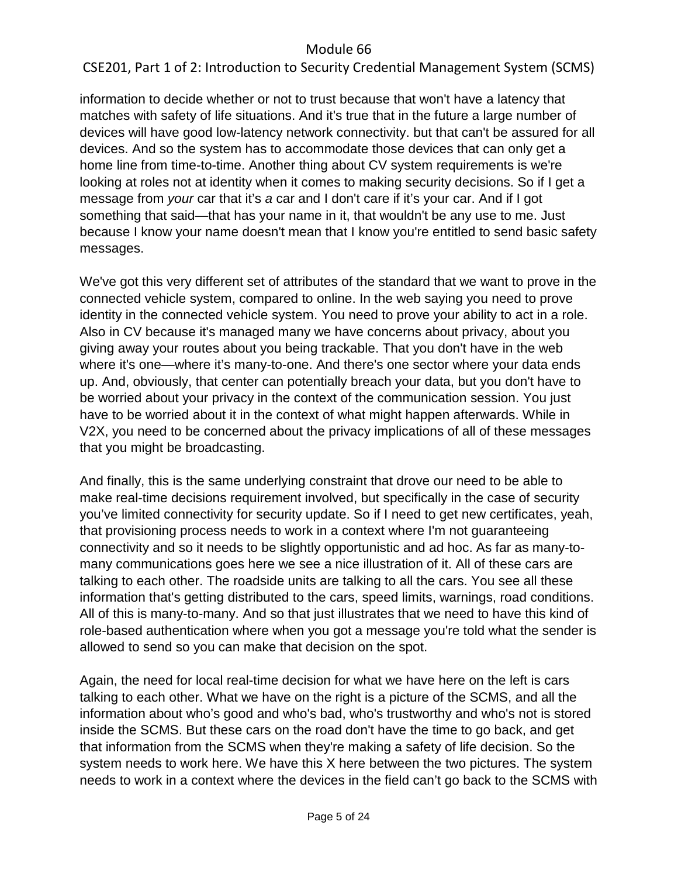# CSE201, Part 1 of 2: Introduction to Security Credential Management System (SCMS)

information to decide whether or not to trust because that won't have a latency that matches with safety of life situations. And it's true that in the future a large number of devices will have good low-latency network connectivity. but that can't be assured for all devices. And so the system has to accommodate those devices that can only get a home line from time-to-time. Another thing about CV system requirements is we're looking at roles not at identity when it comes to making security decisions. So if I get a message from *your* car that it's *a* car and I don't care if it's your car. And if I got something that said—that has your name in it, that wouldn't be any use to me. Just because I know your name doesn't mean that I know you're entitled to send basic safety messages.

We've got this very different set of attributes of the standard that we want to prove in the connected vehicle system, compared to online. In the web saying you need to prove identity in the connected vehicle system. You need to prove your ability to act in a role. Also in CV because it's managed many we have concerns about privacy, about you giving away your routes about you being trackable. That you don't have in the web where it's one—where it's many-to-one. And there's one sector where your data ends up. And, obviously, that center can potentially breach your data, but you don't have to be worried about your privacy in the context of the communication session. You just have to be worried about it in the context of what might happen afterwards. While in V2X, you need to be concerned about the privacy implications of all of these messages that you might be broadcasting.

And finally, this is the same underlying constraint that drove our need to be able to make real-time decisions requirement involved, but specifically in the case of security you've limited connectivity for security update. So if I need to get new certificates, yeah, that provisioning process needs to work in a context where I'm not guaranteeing connectivity and so it needs to be slightly opportunistic and ad hoc. As far as many-tomany communications goes here we see a nice illustration of it. All of these cars are talking to each other. The roadside units are talking to all the cars. You see all these information that's getting distributed to the cars, speed limits, warnings, road conditions. All of this is many-to-many. And so that just illustrates that we need to have this kind of role-based authentication where when you got a message you're told what the sender is allowed to send so you can make that decision on the spot.

Again, the need for local real-time decision for what we have here on the left is cars talking to each other. What we have on the right is a picture of the SCMS, and all the information about who's good and who's bad, who's trustworthy and who's not is stored inside the SCMS. But these cars on the road don't have the time to go back, and get that information from the SCMS when they're making a safety of life decision. So the system needs to work here. We have this X here between the two pictures. The system needs to work in a context where the devices in the field can't go back to the SCMS with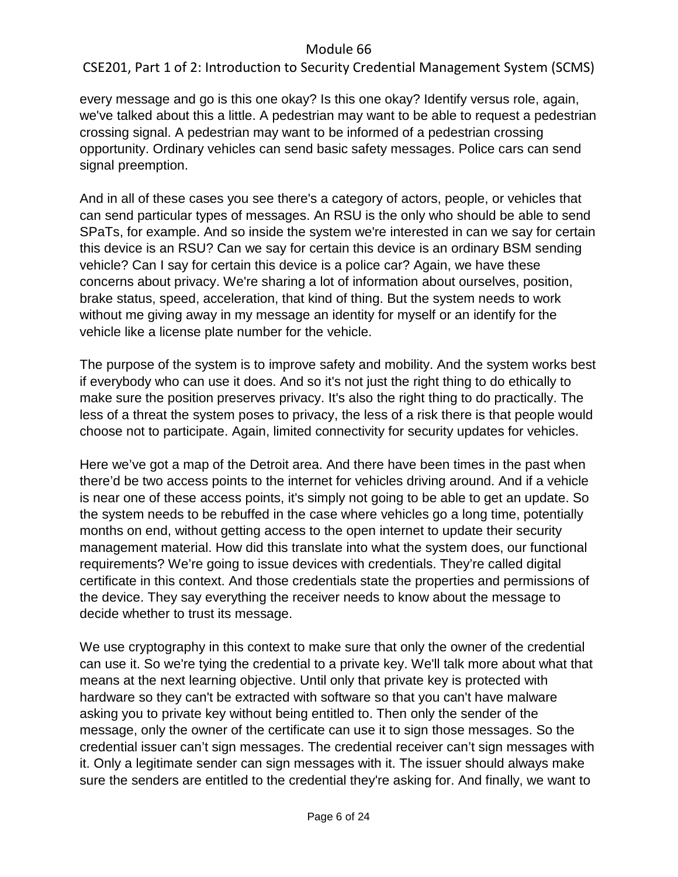CSE201, Part 1 of 2: Introduction to Security Credential Management System (SCMS)

every message and go is this one okay? Is this one okay? Identify versus role, again, we've talked about this a little. A pedestrian may want to be able to request a pedestrian crossing signal. A pedestrian may want to be informed of a pedestrian crossing opportunity. Ordinary vehicles can send basic safety messages. Police cars can send signal preemption.

And in all of these cases you see there's a category of actors, people, or vehicles that can send particular types of messages. An RSU is the only who should be able to send SPaTs, for example. And so inside the system we're interested in can we say for certain this device is an RSU? Can we say for certain this device is an ordinary BSM sending vehicle? Can I say for certain this device is a police car? Again, we have these concerns about privacy. We're sharing a lot of information about ourselves, position, brake status, speed, acceleration, that kind of thing. But the system needs to work without me giving away in my message an identity for myself or an identify for the vehicle like a license plate number for the vehicle.

The purpose of the system is to improve safety and mobility. And the system works best if everybody who can use it does. And so it's not just the right thing to do ethically to make sure the position preserves privacy. It's also the right thing to do practically. The less of a threat the system poses to privacy, the less of a risk there is that people would choose not to participate. Again, limited connectivity for security updates for vehicles.

Here we've got a map of the Detroit area. And there have been times in the past when there'd be two access points to the internet for vehicles driving around. And if a vehicle is near one of these access points, it's simply not going to be able to get an update. So the system needs to be rebuffed in the case where vehicles go a long time, potentially months on end, without getting access to the open internet to update their security management material. How did this translate into what the system does, our functional requirements? We're going to issue devices with credentials. They're called digital certificate in this context. And those credentials state the properties and permissions of the device. They say everything the receiver needs to know about the message to decide whether to trust its message.

We use cryptography in this context to make sure that only the owner of the credential can use it. So we're tying the credential to a private key. We'll talk more about what that means at the next learning objective. Until only that private key is protected with hardware so they can't be extracted with software so that you can't have malware asking you to private key without being entitled to. Then only the sender of the message, only the owner of the certificate can use it to sign those messages. So the credential issuer can't sign messages. The credential receiver can't sign messages with it. Only a legitimate sender can sign messages with it. The issuer should always make sure the senders are entitled to the credential they're asking for. And finally, we want to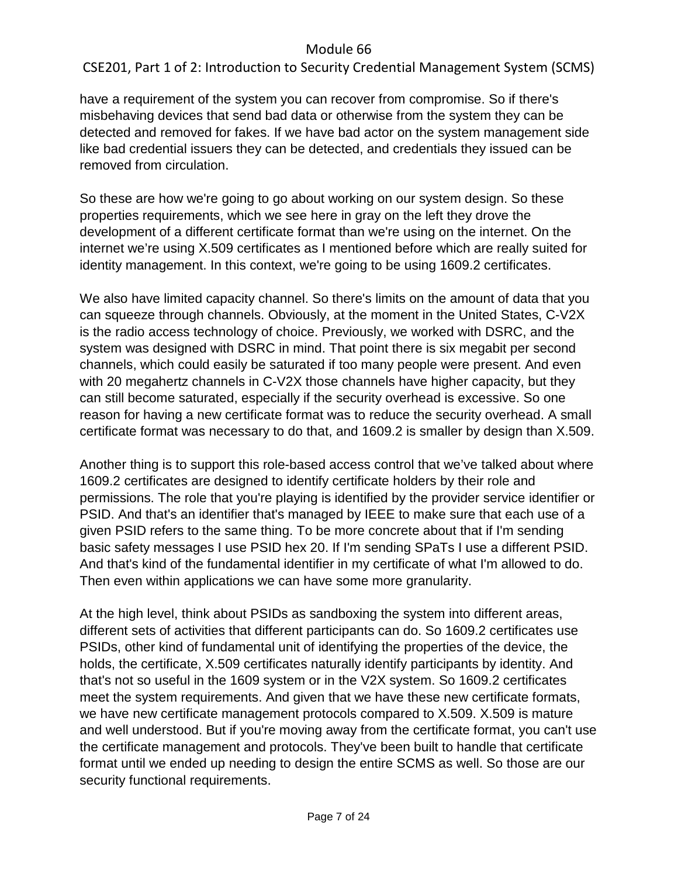CSE201, Part 1 of 2: Introduction to Security Credential Management System (SCMS)

have a requirement of the system you can recover from compromise. So if there's misbehaving devices that send bad data or otherwise from the system they can be detected and removed for fakes. If we have bad actor on the system management side like bad credential issuers they can be detected, and credentials they issued can be removed from circulation.

So these are how we're going to go about working on our system design. So these properties requirements, which we see here in gray on the left they drove the development of a different certificate format than we're using on the internet. On the internet we're using X.509 certificates as I mentioned before which are really suited for identity management. In this context, we're going to be using 1609.2 certificates.

We also have limited capacity channel. So there's limits on the amount of data that you can squeeze through channels. Obviously, at the moment in the United States, C-V2X is the radio access technology of choice. Previously, we worked with DSRC, and the system was designed with DSRC in mind. That point there is six megabit per second channels, which could easily be saturated if too many people were present. And even with 20 megahertz channels in C-V2X those channels have higher capacity, but they can still become saturated, especially if the security overhead is excessive. So one reason for having a new certificate format was to reduce the security overhead. A small certificate format was necessary to do that, and 1609.2 is smaller by design than X.509.

Another thing is to support this role-based access control that we've talked about where 1609.2 certificates are designed to identify certificate holders by their role and permissions. The role that you're playing is identified by the provider service identifier or PSID. And that's an identifier that's managed by IEEE to make sure that each use of a given PSID refers to the same thing. To be more concrete about that if I'm sending basic safety messages I use PSID hex 20. If I'm sending SPaTs I use a different PSID. And that's kind of the fundamental identifier in my certificate of what I'm allowed to do. Then even within applications we can have some more granularity.

At the high level, think about PSIDs as sandboxing the system into different areas, different sets of activities that different participants can do. So 1609.2 certificates use PSIDs, other kind of fundamental unit of identifying the properties of the device, the holds, the certificate, X.509 certificates naturally identify participants by identity. And that's not so useful in the 1609 system or in the V2X system. So 1609.2 certificates meet the system requirements. And given that we have these new certificate formats, we have new certificate management protocols compared to X.509. X.509 is mature and well understood. But if you're moving away from the certificate format, you can't use the certificate management and protocols. They've been built to handle that certificate format until we ended up needing to design the entire SCMS as well. So those are our security functional requirements.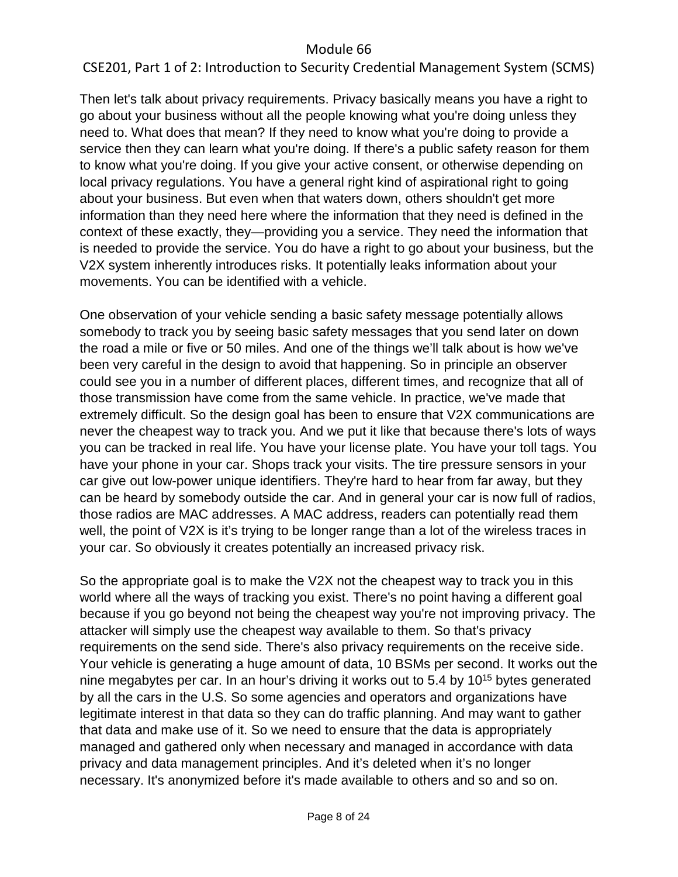# CSE201, Part 1 of 2: Introduction to Security Credential Management System (SCMS)

Then let's talk about privacy requirements. Privacy basically means you have a right to go about your business without all the people knowing what you're doing unless they need to. What does that mean? If they need to know what you're doing to provide a service then they can learn what you're doing. If there's a public safety reason for them to know what you're doing. If you give your active consent, or otherwise depending on local privacy regulations. You have a general right kind of aspirational right to going about your business. But even when that waters down, others shouldn't get more information than they need here where the information that they need is defined in the context of these exactly, they—providing you a service. They need the information that is needed to provide the service. You do have a right to go about your business, but the V2X system inherently introduces risks. It potentially leaks information about your movements. You can be identified with a vehicle.

One observation of your vehicle sending a basic safety message potentially allows somebody to track you by seeing basic safety messages that you send later on down the road a mile or five or 50 miles. And one of the things we'll talk about is how we've been very careful in the design to avoid that happening. So in principle an observer could see you in a number of different places, different times, and recognize that all of those transmission have come from the same vehicle. In practice, we've made that extremely difficult. So the design goal has been to ensure that V2X communications are never the cheapest way to track you. And we put it like that because there's lots of ways you can be tracked in real life. You have your license plate. You have your toll tags. You have your phone in your car. Shops track your visits. The tire pressure sensors in your car give out low-power unique identifiers. They're hard to hear from far away, but they can be heard by somebody outside the car. And in general your car is now full of radios, those radios are MAC addresses. A MAC address, readers can potentially read them well, the point of V2X is it's trying to be longer range than a lot of the wireless traces in your car. So obviously it creates potentially an increased privacy risk.

So the appropriate goal is to make the V2X not the cheapest way to track you in this world where all the ways of tracking you exist. There's no point having a different goal because if you go beyond not being the cheapest way you're not improving privacy. The attacker will simply use the cheapest way available to them. So that's privacy requirements on the send side. There's also privacy requirements on the receive side. Your vehicle is generating a huge amount of data, 10 BSMs per second. It works out the nine megabytes per car. In an hour's driving it works out to 5.4 by  $10^{15}$  bytes generated by all the cars in the U.S. So some agencies and operators and organizations have legitimate interest in that data so they can do traffic planning. And may want to gather that data and make use of it. So we need to ensure that the data is appropriately managed and gathered only when necessary and managed in accordance with data privacy and data management principles. And it's deleted when it's no longer necessary. It's anonymized before it's made available to others and so and so on.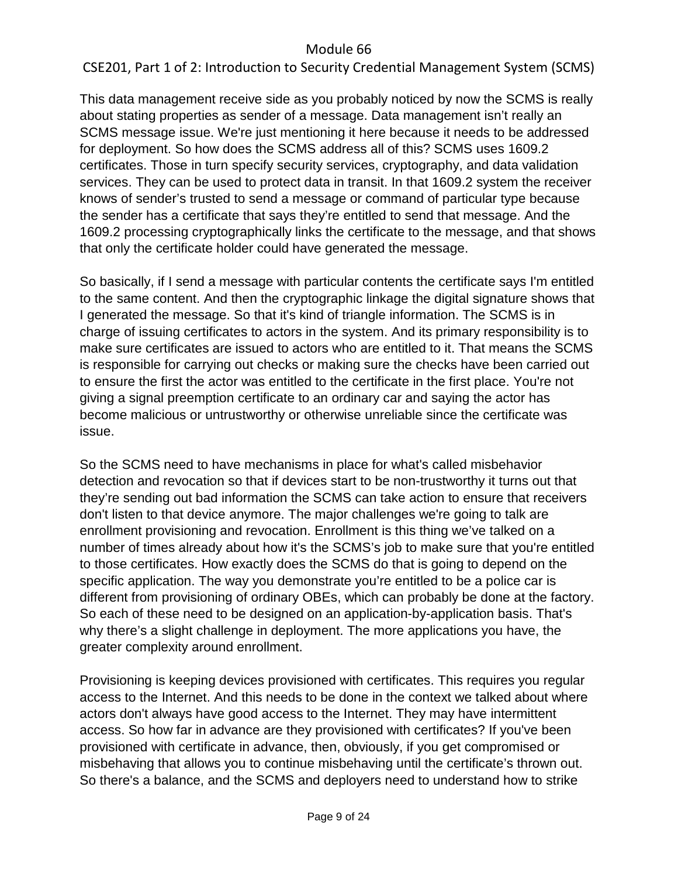# CSE201, Part 1 of 2: Introduction to Security Credential Management System (SCMS)

This data management receive side as you probably noticed by now the SCMS is really about stating properties as sender of a message. Data management isn't really an SCMS message issue. We're just mentioning it here because it needs to be addressed for deployment. So how does the SCMS address all of this? SCMS uses 1609.2 certificates. Those in turn specify security services, cryptography, and data validation services. They can be used to protect data in transit. In that 1609.2 system the receiver knows of sender's trusted to send a message or command of particular type because the sender has a certificate that says they're entitled to send that message. And the 1609.2 processing cryptographically links the certificate to the message, and that shows that only the certificate holder could have generated the message.

So basically, if I send a message with particular contents the certificate says I'm entitled to the same content. And then the cryptographic linkage the digital signature shows that I generated the message. So that it's kind of triangle information. The SCMS is in charge of issuing certificates to actors in the system. And its primary responsibility is to make sure certificates are issued to actors who are entitled to it. That means the SCMS is responsible for carrying out checks or making sure the checks have been carried out to ensure the first the actor was entitled to the certificate in the first place. You're not giving a signal preemption certificate to an ordinary car and saying the actor has become malicious or untrustworthy or otherwise unreliable since the certificate was issue.

So the SCMS need to have mechanisms in place for what's called misbehavior detection and revocation so that if devices start to be non-trustworthy it turns out that they're sending out bad information the SCMS can take action to ensure that receivers don't listen to that device anymore. The major challenges we're going to talk are enrollment provisioning and revocation. Enrollment is this thing we've talked on a number of times already about how it's the SCMS's job to make sure that you're entitled to those certificates. How exactly does the SCMS do that is going to depend on the specific application. The way you demonstrate you're entitled to be a police car is different from provisioning of ordinary OBEs, which can probably be done at the factory. So each of these need to be designed on an application-by-application basis. That's why there's a slight challenge in deployment. The more applications you have, the greater complexity around enrollment.

Provisioning is keeping devices provisioned with certificates. This requires you regular access to the Internet. And this needs to be done in the context we talked about where actors don't always have good access to the Internet. They may have intermittent access. So how far in advance are they provisioned with certificates? If you've been provisioned with certificate in advance, then, obviously, if you get compromised or misbehaving that allows you to continue misbehaving until the certificate's thrown out. So there's a balance, and the SCMS and deployers need to understand how to strike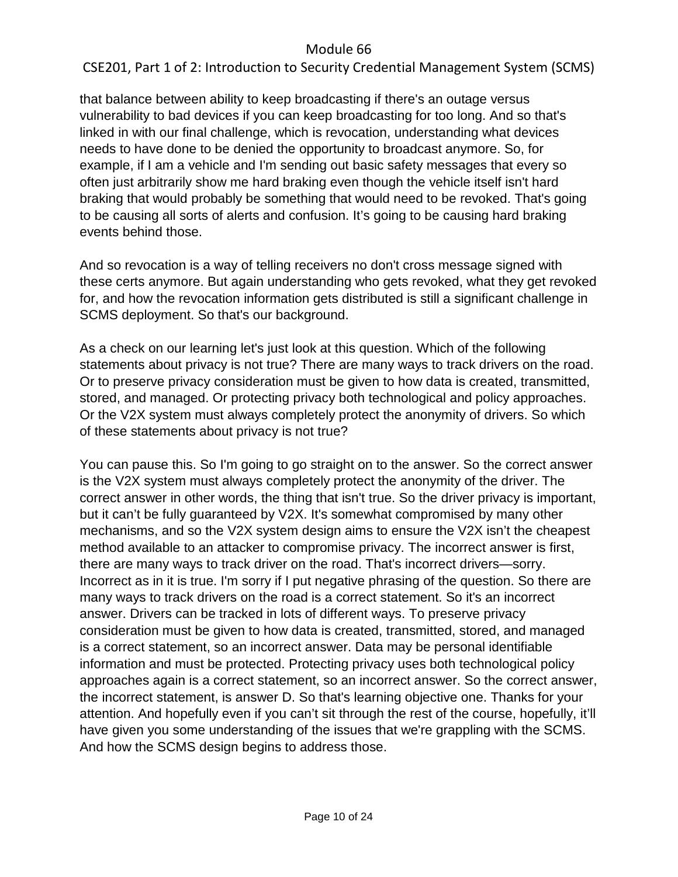# CSE201, Part 1 of 2: Introduction to Security Credential Management System (SCMS)

that balance between ability to keep broadcasting if there's an outage versus vulnerability to bad devices if you can keep broadcasting for too long. And so that's linked in with our final challenge, which is revocation, understanding what devices needs to have done to be denied the opportunity to broadcast anymore. So, for example, if I am a vehicle and I'm sending out basic safety messages that every so often just arbitrarily show me hard braking even though the vehicle itself isn't hard braking that would probably be something that would need to be revoked. That's going to be causing all sorts of alerts and confusion. It's going to be causing hard braking events behind those.

And so revocation is a way of telling receivers no don't cross message signed with these certs anymore. But again understanding who gets revoked, what they get revoked for, and how the revocation information gets distributed is still a significant challenge in SCMS deployment. So that's our background.

As a check on our learning let's just look at this question. Which of the following statements about privacy is not true? There are many ways to track drivers on the road. Or to preserve privacy consideration must be given to how data is created, transmitted, stored, and managed. Or protecting privacy both technological and policy approaches. Or the V2X system must always completely protect the anonymity of drivers. So which of these statements about privacy is not true?

You can pause this. So I'm going to go straight on to the answer. So the correct answer is the V2X system must always completely protect the anonymity of the driver. The correct answer in other words, the thing that isn't true. So the driver privacy is important, but it can't be fully guaranteed by V2X. It's somewhat compromised by many other mechanisms, and so the V2X system design aims to ensure the V2X isn't the cheapest method available to an attacker to compromise privacy. The incorrect answer is first, there are many ways to track driver on the road. That's incorrect drivers—sorry. Incorrect as in it is true. I'm sorry if I put negative phrasing of the question. So there are many ways to track drivers on the road is a correct statement. So it's an incorrect answer. Drivers can be tracked in lots of different ways. To preserve privacy consideration must be given to how data is created, transmitted, stored, and managed is a correct statement, so an incorrect answer. Data may be personal identifiable information and must be protected. Protecting privacy uses both technological policy approaches again is a correct statement, so an incorrect answer. So the correct answer, the incorrect statement, is answer D. So that's learning objective one. Thanks for your attention. And hopefully even if you can't sit through the rest of the course, hopefully, it'll have given you some understanding of the issues that we're grappling with the SCMS. And how the SCMS design begins to address those.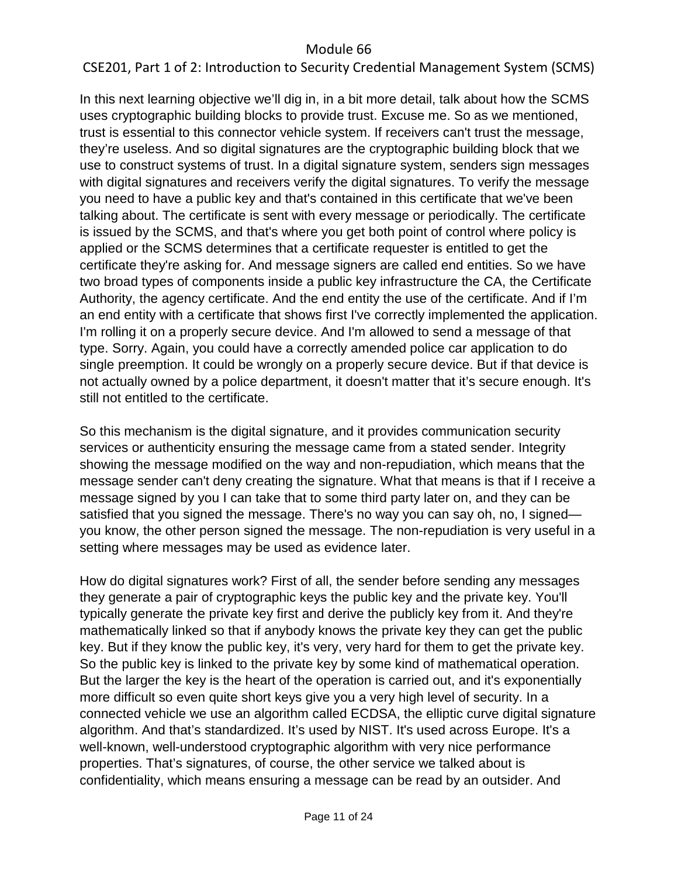# CSE201, Part 1 of 2: Introduction to Security Credential Management System (SCMS)

In this next learning objective we'll dig in, in a bit more detail, talk about how the SCMS uses cryptographic building blocks to provide trust. Excuse me. So as we mentioned, trust is essential to this connector vehicle system. If receivers can't trust the message, they're useless. And so digital signatures are the cryptographic building block that we use to construct systems of trust. In a digital signature system, senders sign messages with digital signatures and receivers verify the digital signatures. To verify the message you need to have a public key and that's contained in this certificate that we've been talking about. The certificate is sent with every message or periodically. The certificate is issued by the SCMS, and that's where you get both point of control where policy is applied or the SCMS determines that a certificate requester is entitled to get the certificate they're asking for. And message signers are called end entities. So we have two broad types of components inside a public key infrastructure the CA, the Certificate Authority, the agency certificate. And the end entity the use of the certificate. And if I'm an end entity with a certificate that shows first I've correctly implemented the application. I'm rolling it on a properly secure device. And I'm allowed to send a message of that type. Sorry. Again, you could have a correctly amended police car application to do single preemption. It could be wrongly on a properly secure device. But if that device is not actually owned by a police department, it doesn't matter that it's secure enough. It's still not entitled to the certificate.

So this mechanism is the digital signature, and it provides communication security services or authenticity ensuring the message came from a stated sender. Integrity showing the message modified on the way and non-repudiation, which means that the message sender can't deny creating the signature. What that means is that if I receive a message signed by you I can take that to some third party later on, and they can be satisfied that you signed the message. There's no way you can say oh, no, I signed you know, the other person signed the message. The non-repudiation is very useful in a setting where messages may be used as evidence later.

How do digital signatures work? First of all, the sender before sending any messages they generate a pair of cryptographic keys the public key and the private key. You'll typically generate the private key first and derive the publicly key from it. And they're mathematically linked so that if anybody knows the private key they can get the public key. But if they know the public key, it's very, very hard for them to get the private key. So the public key is linked to the private key by some kind of mathematical operation. But the larger the key is the heart of the operation is carried out, and it's exponentially more difficult so even quite short keys give you a very high level of security. In a connected vehicle we use an algorithm called ECDSA, the elliptic curve digital signature algorithm. And that's standardized. It's used by NIST. It's used across Europe. It's a well-known, well-understood cryptographic algorithm with very nice performance properties. That's signatures, of course, the other service we talked about is confidentiality, which means ensuring a message can be read by an outsider. And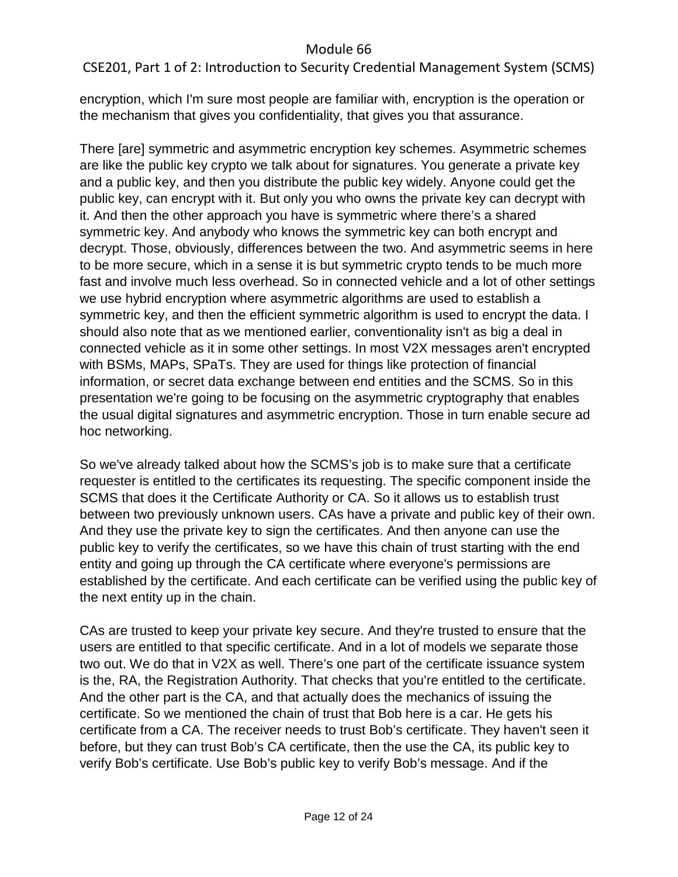CSE201, Part 1 of 2: Introduction to Security Credential Management System (SCMS)

encryption, which I'm sure most people are familiar with, encryption is the operation or the mechanism that gives you confidentiality, that gives you that assurance.

There [are] symmetric and asymmetric encryption key schemes. Asymmetric schemes are like the public key crypto we talk about for signatures. You generate a private key and a public key, and then you distribute the public key widely. Anyone could get the public key, can encrypt with it. But only you who owns the private key can decrypt with it. And then the other approach you have is symmetric where there's a shared symmetric key. And anybody who knows the symmetric key can both encrypt and decrypt. Those, obviously, differences between the two. And asymmetric seems in here to be more secure, which in a sense it is but symmetric crypto tends to be much more fast and involve much less overhead. So in connected vehicle and a lot of other settings we use hybrid encryption where asymmetric algorithms are used to establish a symmetric key, and then the efficient symmetric algorithm is used to encrypt the data. I should also note that as we mentioned earlier, conventionality isn't as big a deal in connected vehicle as it in some other settings. In most V2X messages aren't encrypted with BSMs, MAPs, SPaTs. They are used for things like protection of financial information, or secret data exchange between end entities and the SCMS. So in this presentation we're going to be focusing on the asymmetric cryptography that enables the usual digital signatures and asymmetric encryption. Those in turn enable secure ad hoc networking.

So we've already talked about how the SCMS's job is to make sure that a certificate requester is entitled to the certificates its requesting. The specific component inside the SCMS that does it the Certificate Authority or CA. So it allows us to establish trust between two previously unknown users. CAs have a private and public key of their own. And they use the private key to sign the certificates. And then anyone can use the public key to verify the certificates, so we have this chain of trust starting with the end entity and going up through the CA certificate where everyone's permissions are established by the certificate. And each certificate can be verified using the public key of the next entity up in the chain.

CAs are trusted to keep your private key secure. And they're trusted to ensure that the users are entitled to that specific certificate. And in a lot of models we separate those two out. We do that in V2X as well. There's one part of the certificate issuance system is the, RA, the Registration Authority. That checks that you're entitled to the certificate. And the other part is the CA, and that actually does the mechanics of issuing the certificate. So we mentioned the chain of trust that Bob here is a car. He gets his certificate from a CA. The receiver needs to trust Bob's certificate. They haven't seen it before, but they can trust Bob's CA certificate, then the use the CA, its public key to verify Bob's certificate. Use Bob's public key to verify Bob's message. And if the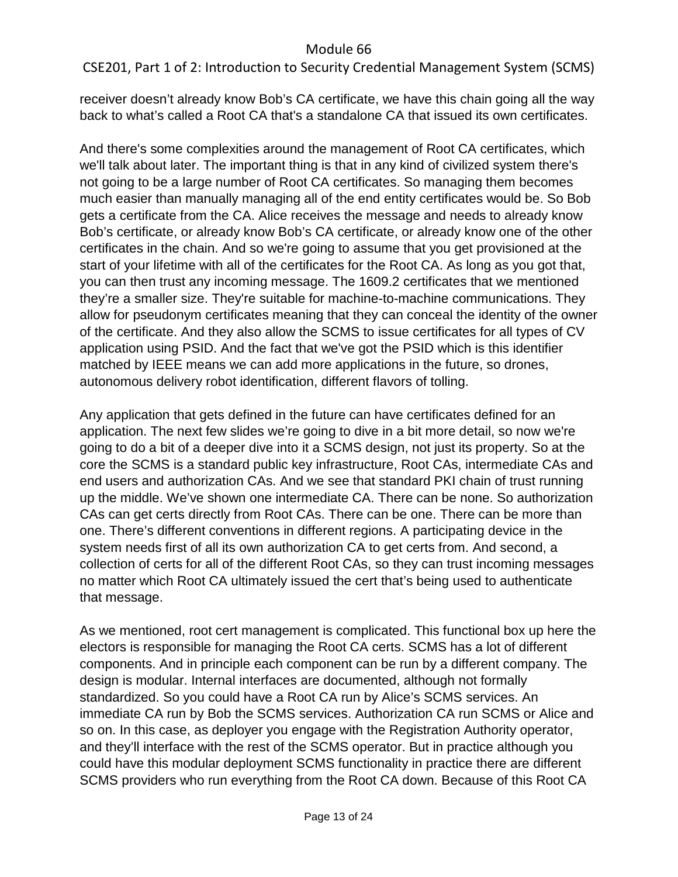CSE201, Part 1 of 2: Introduction to Security Credential Management System (SCMS)

receiver doesn't already know Bob's CA certificate, we have this chain going all the way back to what's called a Root CA that's a standalone CA that issued its own certificates.

And there's some complexities around the management of Root CA certificates, which we'll talk about later. The important thing is that in any kind of civilized system there's not going to be a large number of Root CA certificates. So managing them becomes much easier than manually managing all of the end entity certificates would be. So Bob gets a certificate from the CA. Alice receives the message and needs to already know Bob's certificate, or already know Bob's CA certificate, or already know one of the other certificates in the chain. And so we're going to assume that you get provisioned at the start of your lifetime with all of the certificates for the Root CA. As long as you got that, you can then trust any incoming message. The 1609.2 certificates that we mentioned they're a smaller size. They're suitable for machine-to-machine communications. They allow for pseudonym certificates meaning that they can conceal the identity of the owner of the certificate. And they also allow the SCMS to issue certificates for all types of CV application using PSID. And the fact that we've got the PSID which is this identifier matched by IEEE means we can add more applications in the future, so drones, autonomous delivery robot identification, different flavors of tolling.

Any application that gets defined in the future can have certificates defined for an application. The next few slides we're going to dive in a bit more detail, so now we're going to do a bit of a deeper dive into it a SCMS design, not just its property. So at the core the SCMS is a standard public key infrastructure, Root CAs, intermediate CAs and end users and authorization CAs. And we see that standard PKI chain of trust running up the middle. We've shown one intermediate CA. There can be none. So authorization CAs can get certs directly from Root CAs. There can be one. There can be more than one. There's different conventions in different regions. A participating device in the system needs first of all its own authorization CA to get certs from. And second, a collection of certs for all of the different Root CAs, so they can trust incoming messages no matter which Root CA ultimately issued the cert that's being used to authenticate that message.

As we mentioned, root cert management is complicated. This functional box up here the electors is responsible for managing the Root CA certs. SCMS has a lot of different components. And in principle each component can be run by a different company. The design is modular. Internal interfaces are documented, although not formally standardized. So you could have a Root CA run by Alice's SCMS services. An immediate CA run by Bob the SCMS services. Authorization CA run SCMS or Alice and so on. In this case, as deployer you engage with the Registration Authority operator, and they'll interface with the rest of the SCMS operator. But in practice although you could have this modular deployment SCMS functionality in practice there are different SCMS providers who run everything from the Root CA down. Because of this Root CA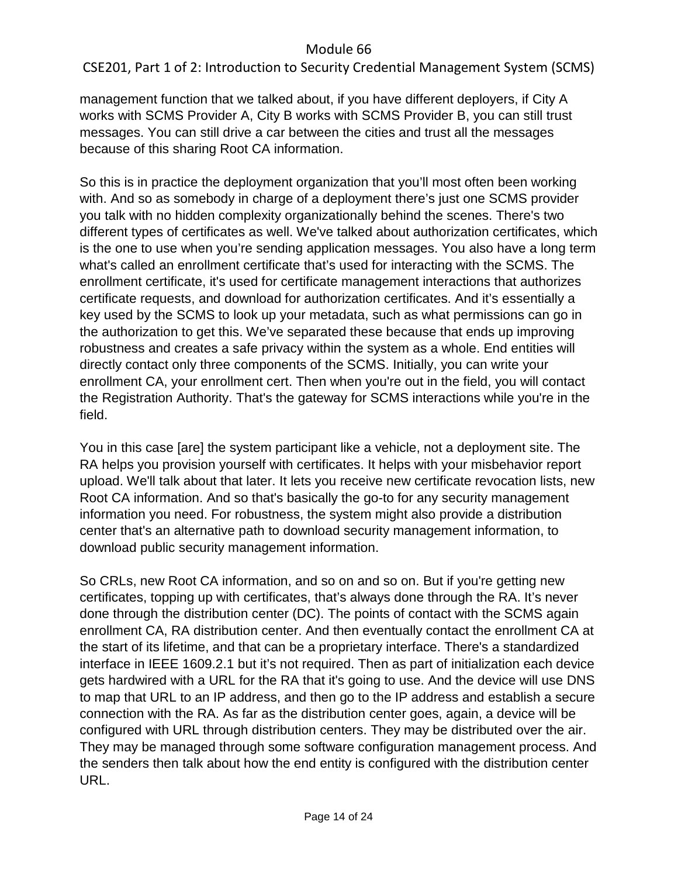CSE201, Part 1 of 2: Introduction to Security Credential Management System (SCMS)

management function that we talked about, if you have different deployers, if City A works with SCMS Provider A, City B works with SCMS Provider B, you can still trust messages. You can still drive a car between the cities and trust all the messages because of this sharing Root CA information.

So this is in practice the deployment organization that you'll most often been working with. And so as somebody in charge of a deployment there's just one SCMS provider you talk with no hidden complexity organizationally behind the scenes. There's two different types of certificates as well. We've talked about authorization certificates, which is the one to use when you're sending application messages. You also have a long term what's called an enrollment certificate that's used for interacting with the SCMS. The enrollment certificate, it's used for certificate management interactions that authorizes certificate requests, and download for authorization certificates. And it's essentially a key used by the SCMS to look up your metadata, such as what permissions can go in the authorization to get this. We've separated these because that ends up improving robustness and creates a safe privacy within the system as a whole. End entities will directly contact only three components of the SCMS. Initially, you can write your enrollment CA, your enrollment cert. Then when you're out in the field, you will contact the Registration Authority. That's the gateway for SCMS interactions while you're in the field.

You in this case [are] the system participant like a vehicle, not a deployment site. The RA helps you provision yourself with certificates. It helps with your misbehavior report upload. We'll talk about that later. It lets you receive new certificate revocation lists, new Root CA information. And so that's basically the go-to for any security management information you need. For robustness, the system might also provide a distribution center that's an alternative path to download security management information, to download public security management information.

So CRLs, new Root CA information, and so on and so on. But if you're getting new certificates, topping up with certificates, that's always done through the RA. It's never done through the distribution center (DC). The points of contact with the SCMS again enrollment CA, RA distribution center. And then eventually contact the enrollment CA at the start of its lifetime, and that can be a proprietary interface. There's a standardized interface in IEEE 1609.2.1 but it's not required. Then as part of initialization each device gets hardwired with a URL for the RA that it's going to use. And the device will use DNS to map that URL to an IP address, and then go to the IP address and establish a secure connection with the RA. As far as the distribution center goes, again, a device will be configured with URL through distribution centers. They may be distributed over the air. They may be managed through some software configuration management process. And the senders then talk about how the end entity is configured with the distribution center URL.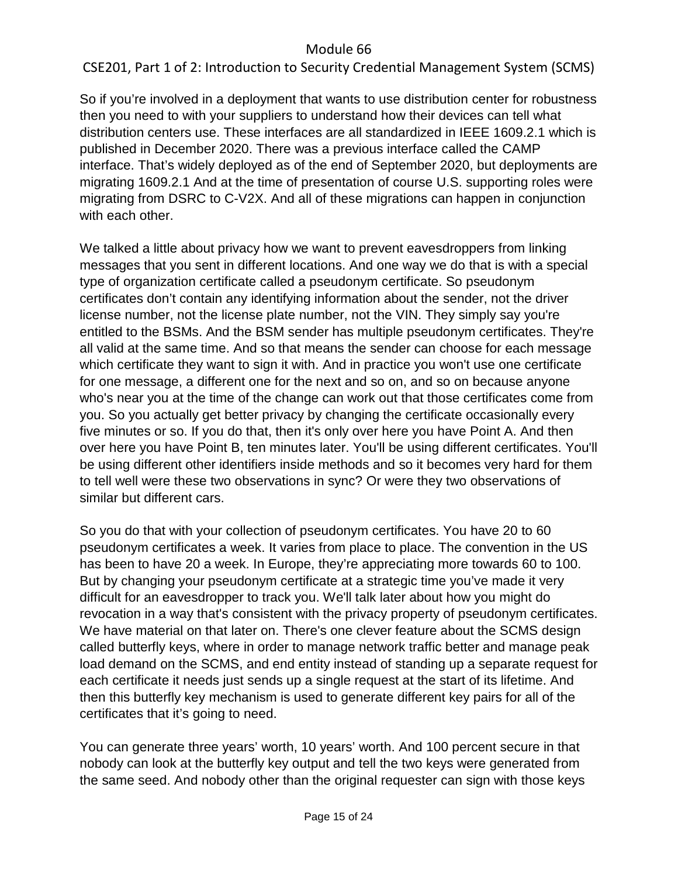CSE201, Part 1 of 2: Introduction to Security Credential Management System (SCMS)

So if you're involved in a deployment that wants to use distribution center for robustness then you need to with your suppliers to understand how their devices can tell what distribution centers use. These interfaces are all standardized in IEEE 1609.2.1 which is published in December 2020. There was a previous interface called the CAMP interface. That's widely deployed as of the end of September 2020, but deployments are migrating 1609.2.1 And at the time of presentation of course U.S. supporting roles were migrating from DSRC to C-V2X. And all of these migrations can happen in conjunction with each other.

We talked a little about privacy how we want to prevent eavesdroppers from linking messages that you sent in different locations. And one way we do that is with a special type of organization certificate called a pseudonym certificate. So pseudonym certificates don't contain any identifying information about the sender, not the driver license number, not the license plate number, not the VIN. They simply say you're entitled to the BSMs. And the BSM sender has multiple pseudonym certificates. They're all valid at the same time. And so that means the sender can choose for each message which certificate they want to sign it with. And in practice you won't use one certificate for one message, a different one for the next and so on, and so on because anyone who's near you at the time of the change can work out that those certificates come from you. So you actually get better privacy by changing the certificate occasionally every five minutes or so. If you do that, then it's only over here you have Point A. And then over here you have Point B, ten minutes later. You'll be using different certificates. You'll be using different other identifiers inside methods and so it becomes very hard for them to tell well were these two observations in sync? Or were they two observations of similar but different cars.

So you do that with your collection of pseudonym certificates. You have 20 to 60 pseudonym certificates a week. It varies from place to place. The convention in the US has been to have 20 a week. In Europe, they're appreciating more towards 60 to 100. But by changing your pseudonym certificate at a strategic time you've made it very difficult for an eavesdropper to track you. We'll talk later about how you might do revocation in a way that's consistent with the privacy property of pseudonym certificates. We have material on that later on. There's one clever feature about the SCMS design called butterfly keys, where in order to manage network traffic better and manage peak load demand on the SCMS, and end entity instead of standing up a separate request for each certificate it needs just sends up a single request at the start of its lifetime. And then this butterfly key mechanism is used to generate different key pairs for all of the certificates that it's going to need.

You can generate three years' worth, 10 years' worth. And 100 percent secure in that nobody can look at the butterfly key output and tell the two keys were generated from the same seed. And nobody other than the original requester can sign with those keys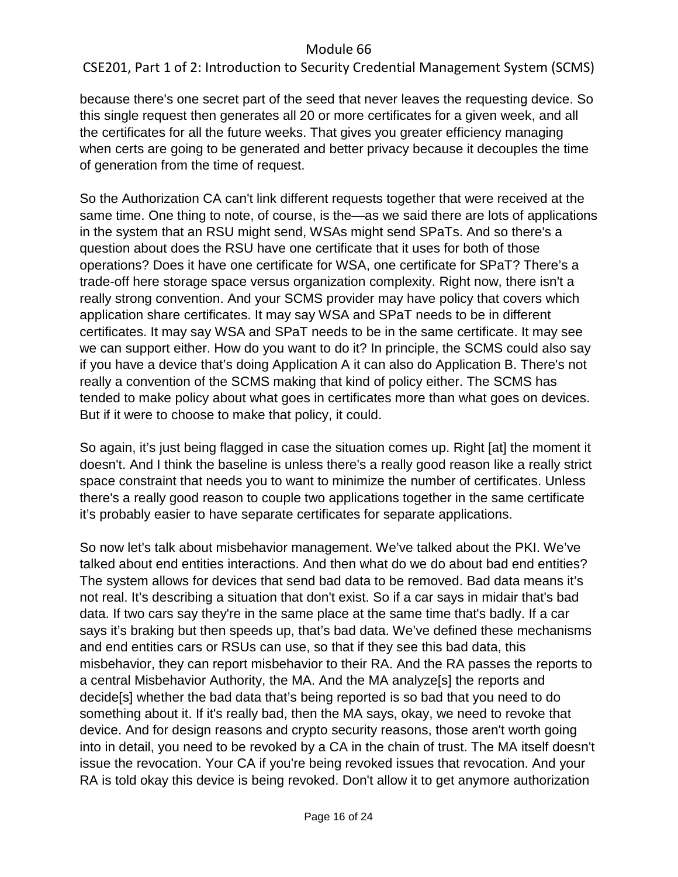CSE201, Part 1 of 2: Introduction to Security Credential Management System (SCMS)

because there's one secret part of the seed that never leaves the requesting device. So this single request then generates all 20 or more certificates for a given week, and all the certificates for all the future weeks. That gives you greater efficiency managing when certs are going to be generated and better privacy because it decouples the time of generation from the time of request.

So the Authorization CA can't link different requests together that were received at the same time. One thing to note, of course, is the—as we said there are lots of applications in the system that an RSU might send, WSAs might send SPaTs. And so there's a question about does the RSU have one certificate that it uses for both of those operations? Does it have one certificate for WSA, one certificate for SPaT? There's a trade-off here storage space versus organization complexity. Right now, there isn't a really strong convention. And your SCMS provider may have policy that covers which application share certificates. It may say WSA and SPaT needs to be in different certificates. It may say WSA and SPaT needs to be in the same certificate. It may see we can support either. How do you want to do it? In principle, the SCMS could also say if you have a device that's doing Application A it can also do Application B. There's not really a convention of the SCMS making that kind of policy either. The SCMS has tended to make policy about what goes in certificates more than what goes on devices. But if it were to choose to make that policy, it could.

So again, it's just being flagged in case the situation comes up. Right [at] the moment it doesn't. And I think the baseline is unless there's a really good reason like a really strict space constraint that needs you to want to minimize the number of certificates. Unless there's a really good reason to couple two applications together in the same certificate it's probably easier to have separate certificates for separate applications.

So now let's talk about misbehavior management. We've talked about the PKI. We've talked about end entities interactions. And then what do we do about bad end entities? The system allows for devices that send bad data to be removed. Bad data means it's not real. It's describing a situation that don't exist. So if a car says in midair that's bad data. If two cars say they're in the same place at the same time that's badly. If a car says it's braking but then speeds up, that's bad data. We've defined these mechanisms and end entities cars or RSUs can use, so that if they see this bad data, this misbehavior, they can report misbehavior to their RA. And the RA passes the reports to a central Misbehavior Authority, the MA. And the MA analyze[s] the reports and decide[s] whether the bad data that's being reported is so bad that you need to do something about it. If it's really bad, then the MA says, okay, we need to revoke that device. And for design reasons and crypto security reasons, those aren't worth going into in detail, you need to be revoked by a CA in the chain of trust. The MA itself doesn't issue the revocation. Your CA if you're being revoked issues that revocation. And your RA is told okay this device is being revoked. Don't allow it to get anymore authorization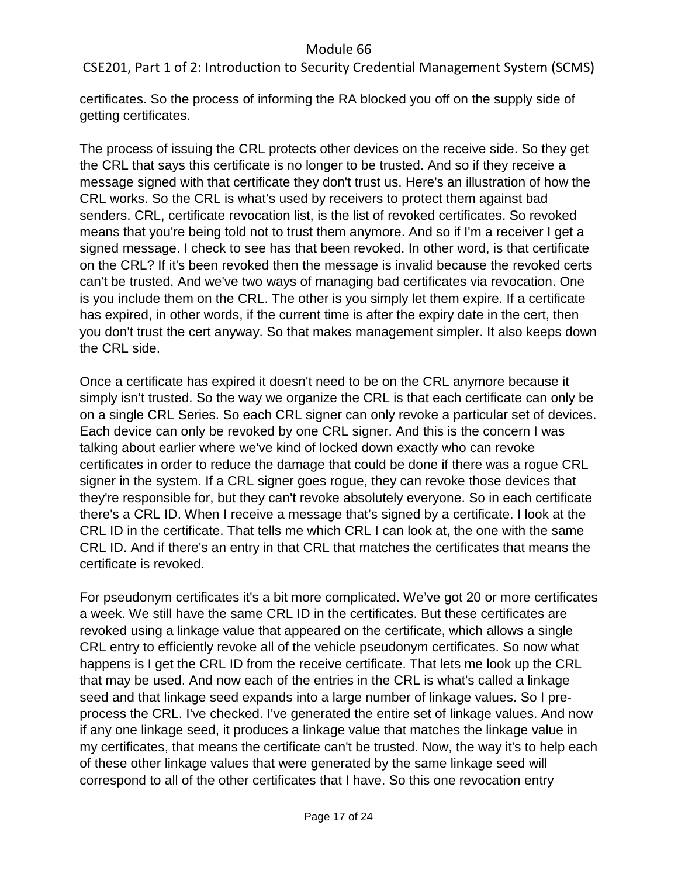CSE201, Part 1 of 2: Introduction to Security Credential Management System (SCMS)

certificates. So the process of informing the RA blocked you off on the supply side of getting certificates.

The process of issuing the CRL protects other devices on the receive side. So they get the CRL that says this certificate is no longer to be trusted. And so if they receive a message signed with that certificate they don't trust us. Here's an illustration of how the CRL works. So the CRL is what's used by receivers to protect them against bad senders. CRL, certificate revocation list, is the list of revoked certificates. So revoked means that you're being told not to trust them anymore. And so if I'm a receiver I get a signed message. I check to see has that been revoked. In other word, is that certificate on the CRL? If it's been revoked then the message is invalid because the revoked certs can't be trusted. And we've two ways of managing bad certificates via revocation. One is you include them on the CRL. The other is you simply let them expire. If a certificate has expired, in other words, if the current time is after the expiry date in the cert, then you don't trust the cert anyway. So that makes management simpler. It also keeps down the CRL side.

Once a certificate has expired it doesn't need to be on the CRL anymore because it simply isn't trusted. So the way we organize the CRL is that each certificate can only be on a single CRL Series. So each CRL signer can only revoke a particular set of devices. Each device can only be revoked by one CRL signer. And this is the concern I was talking about earlier where we've kind of locked down exactly who can revoke certificates in order to reduce the damage that could be done if there was a rogue CRL signer in the system. If a CRL signer goes rogue, they can revoke those devices that they're responsible for, but they can't revoke absolutely everyone. So in each certificate there's a CRL ID. When I receive a message that's signed by a certificate. I look at the CRL ID in the certificate. That tells me which CRL I can look at, the one with the same CRL ID. And if there's an entry in that CRL that matches the certificates that means the certificate is revoked.

For pseudonym certificates it's a bit more complicated. We've got 20 or more certificates a week. We still have the same CRL ID in the certificates. But these certificates are revoked using a linkage value that appeared on the certificate, which allows a single CRL entry to efficiently revoke all of the vehicle pseudonym certificates. So now what happens is I get the CRL ID from the receive certificate. That lets me look up the CRL that may be used. And now each of the entries in the CRL is what's called a linkage seed and that linkage seed expands into a large number of linkage values. So I preprocess the CRL. I've checked. I've generated the entire set of linkage values. And now if any one linkage seed, it produces a linkage value that matches the linkage value in my certificates, that means the certificate can't be trusted. Now, the way it's to help each of these other linkage values that were generated by the same linkage seed will correspond to all of the other certificates that I have. So this one revocation entry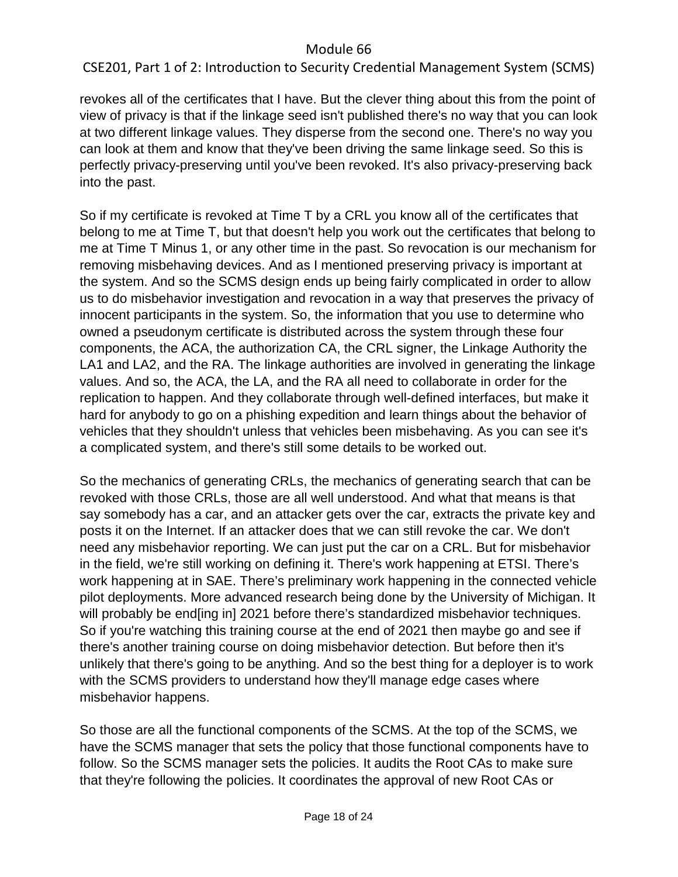CSE201, Part 1 of 2: Introduction to Security Credential Management System (SCMS)

revokes all of the certificates that I have. But the clever thing about this from the point of view of privacy is that if the linkage seed isn't published there's no way that you can look at two different linkage values. They disperse from the second one. There's no way you can look at them and know that they've been driving the same linkage seed. So this is perfectly privacy-preserving until you've been revoked. It's also privacy-preserving back into the past.

So if my certificate is revoked at Time T by a CRL you know all of the certificates that belong to me at Time T, but that doesn't help you work out the certificates that belong to me at Time T Minus 1, or any other time in the past. So revocation is our mechanism for removing misbehaving devices. And as I mentioned preserving privacy is important at the system. And so the SCMS design ends up being fairly complicated in order to allow us to do misbehavior investigation and revocation in a way that preserves the privacy of innocent participants in the system. So, the information that you use to determine who owned a pseudonym certificate is distributed across the system through these four components, the ACA, the authorization CA, the CRL signer, the Linkage Authority the LA1 and LA2, and the RA. The linkage authorities are involved in generating the linkage values. And so, the ACA, the LA, and the RA all need to collaborate in order for the replication to happen. And they collaborate through well-defined interfaces, but make it hard for anybody to go on a phishing expedition and learn things about the behavior of vehicles that they shouldn't unless that vehicles been misbehaving. As you can see it's a complicated system, and there's still some details to be worked out.

So the mechanics of generating CRLs, the mechanics of generating search that can be revoked with those CRLs, those are all well understood. And what that means is that say somebody has a car, and an attacker gets over the car, extracts the private key and posts it on the Internet. If an attacker does that we can still revoke the car. We don't need any misbehavior reporting. We can just put the car on a CRL. But for misbehavior in the field, we're still working on defining it. There's work happening at ETSI. There's work happening at in SAE. There's preliminary work happening in the connected vehicle pilot deployments. More advanced research being done by the University of Michigan. It will probably be end[ing in] 2021 before there's standardized misbehavior techniques. So if you're watching this training course at the end of 2021 then maybe go and see if there's another training course on doing misbehavior detection. But before then it's unlikely that there's going to be anything. And so the best thing for a deployer is to work with the SCMS providers to understand how they'll manage edge cases where misbehavior happens.

So those are all the functional components of the SCMS. At the top of the SCMS, we have the SCMS manager that sets the policy that those functional components have to follow. So the SCMS manager sets the policies. It audits the Root CAs to make sure that they're following the policies. It coordinates the approval of new Root CAs or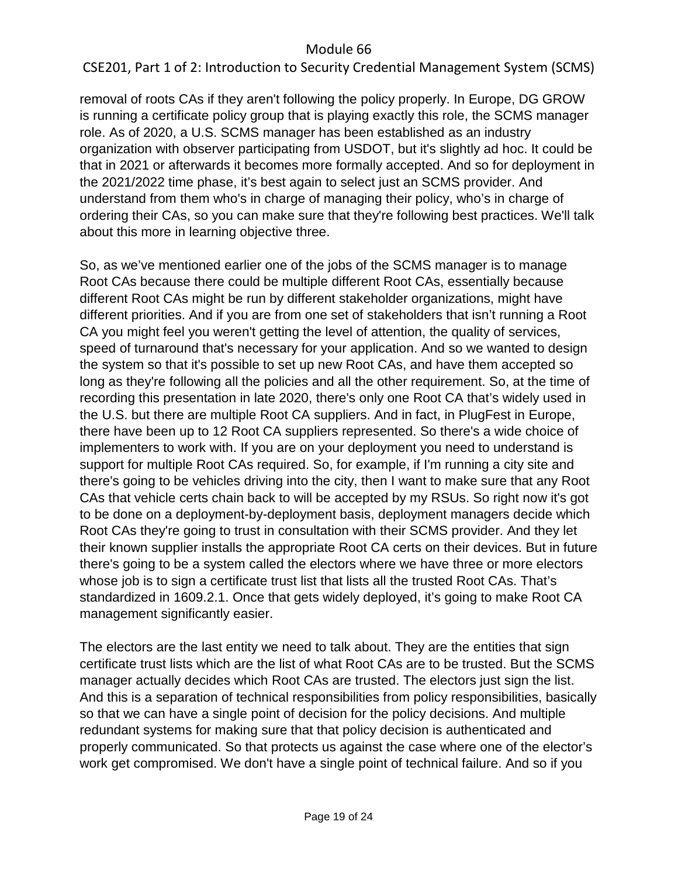CSE201, Part 1 of 2: Introduction to Security Credential Management System (SCMS)

removal of roots CAs if they aren't following the policy properly. In Europe, DG GROW is running a certificate policy group that is playing exactly this role, the SCMS manager role. As of 2020, a U.S. SCMS manager has been established as an industry organization with observer participating from USDOT, but it's slightly ad hoc. It could be that in 2021 or afterwards it becomes more formally accepted. And so for deployment in the 2021/2022 time phase, it's best again to select just an SCMS provider. And understand from them who's in charge of managing their policy, who's in charge of ordering their CAs, so you can make sure that they're following best practices. We'll talk about this more in learning objective three.

So, as we've mentioned earlier one of the jobs of the SCMS manager is to manage Root CAs because there could be multiple different Root CAs, essentially because different Root CAs might be run by different stakeholder organizations, might have different priorities. And if you are from one set of stakeholders that isn't running a Root CA you might feel you weren't getting the level of attention, the quality of services, speed of turnaround that's necessary for your application. And so we wanted to design the system so that it's possible to set up new Root CAs, and have them accepted so long as they're following all the policies and all the other requirement. So, at the time of recording this presentation in late 2020, there's only one Root CA that's widely used in the U.S. but there are multiple Root CA suppliers. And in fact, in PlugFest in Europe, there have been up to 12 Root CA suppliers represented. So there's a wide choice of implementers to work with. If you are on your deployment you need to understand is support for multiple Root CAs required. So, for example, if I'm running a city site and there's going to be vehicles driving into the city, then I want to make sure that any Root CAs that vehicle certs chain back to will be accepted by my RSUs. So right now it's got to be done on a deployment-by-deployment basis, deployment managers decide which Root CAs they're going to trust in consultation with their SCMS provider. And they let their known supplier installs the appropriate Root CA certs on their devices. But in future there's going to be a system called the electors where we have three or more electors whose job is to sign a certificate trust list that lists all the trusted Root CAs. That's standardized in 1609.2.1. Once that gets widely deployed, it's going to make Root CA management significantly easier.

The electors are the last entity we need to talk about. They are the entities that sign certificate trust lists which are the list of what Root CAs are to be trusted. But the SCMS manager actually decides which Root CAs are trusted. The electors just sign the list. And this is a separation of technical responsibilities from policy responsibilities, basically so that we can have a single point of decision for the policy decisions. And multiple redundant systems for making sure that that policy decision is authenticated and properly communicated. So that protects us against the case where one of the elector's work get compromised. We don't have a single point of technical failure. And so if you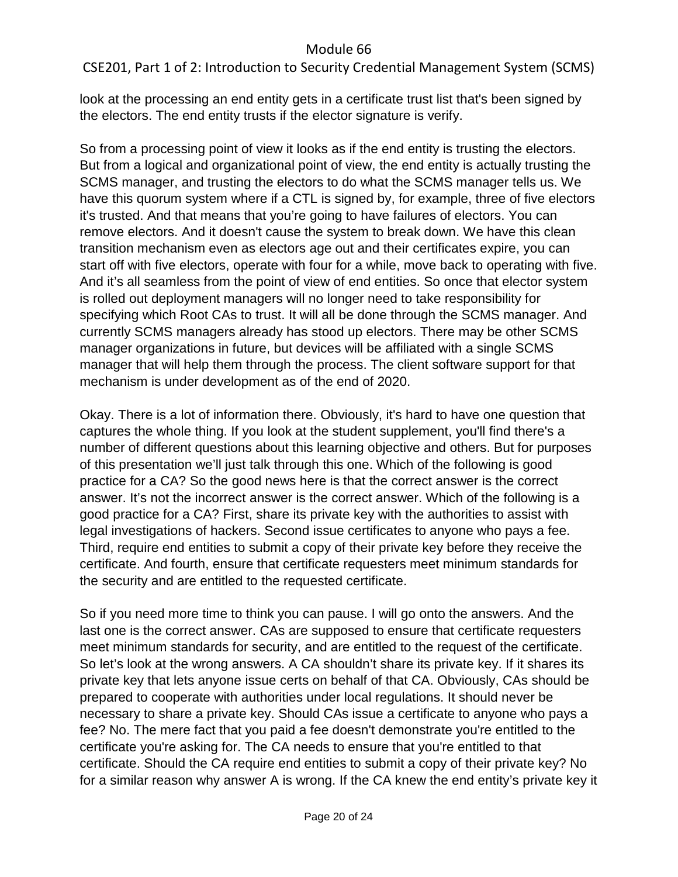CSE201, Part 1 of 2: Introduction to Security Credential Management System (SCMS)

look at the processing an end entity gets in a certificate trust list that's been signed by the electors. The end entity trusts if the elector signature is verify.

So from a processing point of view it looks as if the end entity is trusting the electors. But from a logical and organizational point of view, the end entity is actually trusting the SCMS manager, and trusting the electors to do what the SCMS manager tells us. We have this quorum system where if a CTL is signed by, for example, three of five electors it's trusted. And that means that you're going to have failures of electors. You can remove electors. And it doesn't cause the system to break down. We have this clean transition mechanism even as electors age out and their certificates expire, you can start off with five electors, operate with four for a while, move back to operating with five. And it's all seamless from the point of view of end entities. So once that elector system is rolled out deployment managers will no longer need to take responsibility for specifying which Root CAs to trust. It will all be done through the SCMS manager. And currently SCMS managers already has stood up electors. There may be other SCMS manager organizations in future, but devices will be affiliated with a single SCMS manager that will help them through the process. The client software support for that mechanism is under development as of the end of 2020.

Okay. There is a lot of information there. Obviously, it's hard to have one question that captures the whole thing. If you look at the student supplement, you'll find there's a number of different questions about this learning objective and others. But for purposes of this presentation we'll just talk through this one. Which of the following is good practice for a CA? So the good news here is that the correct answer is the correct answer. It's not the incorrect answer is the correct answer. Which of the following is a good practice for a CA? First, share its private key with the authorities to assist with legal investigations of hackers. Second issue certificates to anyone who pays a fee. Third, require end entities to submit a copy of their private key before they receive the certificate. And fourth, ensure that certificate requesters meet minimum standards for the security and are entitled to the requested certificate.

So if you need more time to think you can pause. I will go onto the answers. And the last one is the correct answer. CAs are supposed to ensure that certificate requesters meet minimum standards for security, and are entitled to the request of the certificate. So let's look at the wrong answers. A CA shouldn't share its private key. If it shares its private key that lets anyone issue certs on behalf of that CA. Obviously, CAs should be prepared to cooperate with authorities under local regulations. It should never be necessary to share a private key. Should CAs issue a certificate to anyone who pays a fee? No. The mere fact that you paid a fee doesn't demonstrate you're entitled to the certificate you're asking for. The CA needs to ensure that you're entitled to that certificate. Should the CA require end entities to submit a copy of their private key? No for a similar reason why answer A is wrong. If the CA knew the end entity's private key it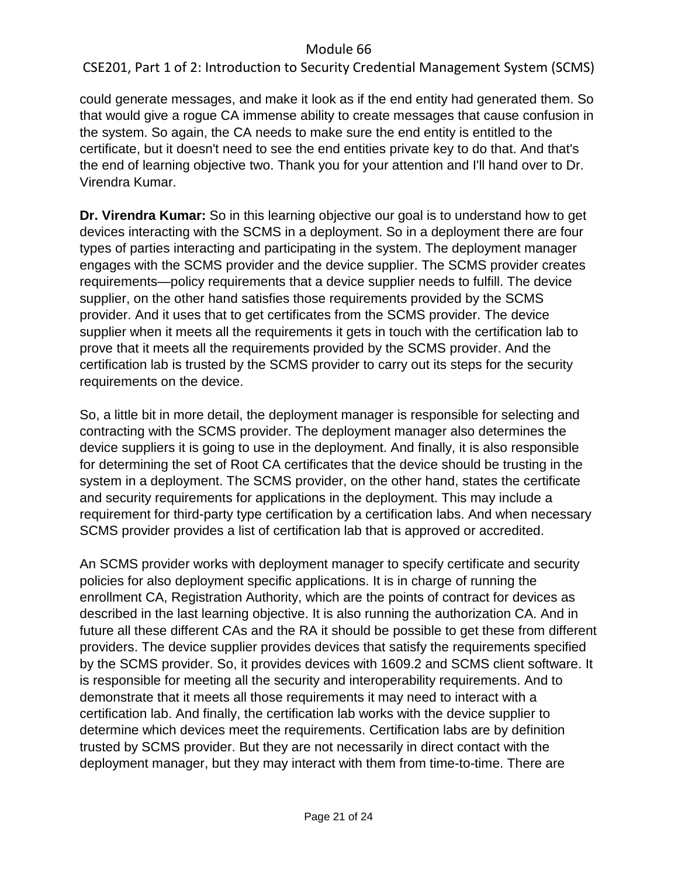CSE201, Part 1 of 2: Introduction to Security Credential Management System (SCMS)

could generate messages, and make it look as if the end entity had generated them. So that would give a rogue CA immense ability to create messages that cause confusion in the system. So again, the CA needs to make sure the end entity is entitled to the certificate, but it doesn't need to see the end entities private key to do that. And that's the end of learning objective two. Thank you for your attention and I'll hand over to Dr. Virendra Kumar.

**Dr. Virendra Kumar:** So in this learning objective our goal is to understand how to get devices interacting with the SCMS in a deployment. So in a deployment there are four types of parties interacting and participating in the system. The deployment manager engages with the SCMS provider and the device supplier. The SCMS provider creates requirements—policy requirements that a device supplier needs to fulfill. The device supplier, on the other hand satisfies those requirements provided by the SCMS provider. And it uses that to get certificates from the SCMS provider. The device supplier when it meets all the requirements it gets in touch with the certification lab to prove that it meets all the requirements provided by the SCMS provider. And the certification lab is trusted by the SCMS provider to carry out its steps for the security requirements on the device.

So, a little bit in more detail, the deployment manager is responsible for selecting and contracting with the SCMS provider. The deployment manager also determines the device suppliers it is going to use in the deployment. And finally, it is also responsible for determining the set of Root CA certificates that the device should be trusting in the system in a deployment. The SCMS provider, on the other hand, states the certificate and security requirements for applications in the deployment. This may include a requirement for third-party type certification by a certification labs. And when necessary SCMS provider provides a list of certification lab that is approved or accredited.

An SCMS provider works with deployment manager to specify certificate and security policies for also deployment specific applications. It is in charge of running the enrollment CA, Registration Authority, which are the points of contract for devices as described in the last learning objective. It is also running the authorization CA. And in future all these different CAs and the RA it should be possible to get these from different providers. The device supplier provides devices that satisfy the requirements specified by the SCMS provider. So, it provides devices with 1609.2 and SCMS client software. It is responsible for meeting all the security and interoperability requirements. And to demonstrate that it meets all those requirements it may need to interact with a certification lab. And finally, the certification lab works with the device supplier to determine which devices meet the requirements. Certification labs are by definition trusted by SCMS provider. But they are not necessarily in direct contact with the deployment manager, but they may interact with them from time-to-time. There are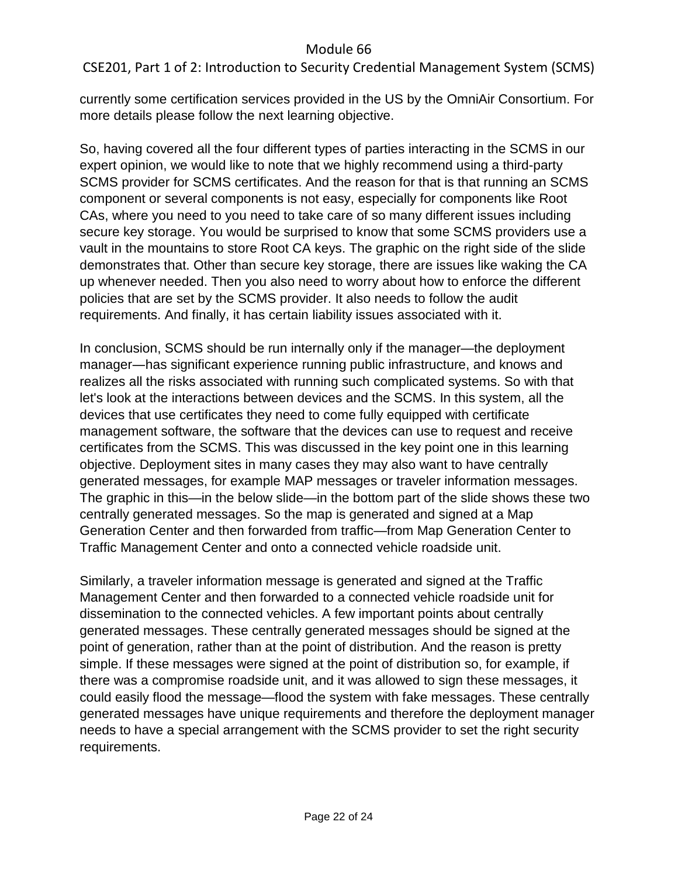CSE201, Part 1 of 2: Introduction to Security Credential Management System (SCMS)

currently some certification services provided in the US by the OmniAir Consortium. For more details please follow the next learning objective.

So, having covered all the four different types of parties interacting in the SCMS in our expert opinion, we would like to note that we highly recommend using a third-party SCMS provider for SCMS certificates. And the reason for that is that running an SCMS component or several components is not easy, especially for components like Root CAs, where you need to you need to take care of so many different issues including secure key storage. You would be surprised to know that some SCMS providers use a vault in the mountains to store Root CA keys. The graphic on the right side of the slide demonstrates that. Other than secure key storage, there are issues like waking the CA up whenever needed. Then you also need to worry about how to enforce the different policies that are set by the SCMS provider. It also needs to follow the audit requirements. And finally, it has certain liability issues associated with it.

In conclusion, SCMS should be run internally only if the manager—the deployment manager―has significant experience running public infrastructure, and knows and realizes all the risks associated with running such complicated systems. So with that let's look at the interactions between devices and the SCMS. In this system, all the devices that use certificates they need to come fully equipped with certificate management software, the software that the devices can use to request and receive certificates from the SCMS. This was discussed in the key point one in this learning objective. Deployment sites in many cases they may also want to have centrally generated messages, for example MAP messages or traveler information messages. The graphic in this—in the below slide—in the bottom part of the slide shows these two centrally generated messages. So the map is generated and signed at a Map Generation Center and then forwarded from traffic—from Map Generation Center to Traffic Management Center and onto a connected vehicle roadside unit.

Similarly, a traveler information message is generated and signed at the Traffic Management Center and then forwarded to a connected vehicle roadside unit for dissemination to the connected vehicles. A few important points about centrally generated messages. These centrally generated messages should be signed at the point of generation, rather than at the point of distribution. And the reason is pretty simple. If these messages were signed at the point of distribution so, for example, if there was a compromise roadside unit, and it was allowed to sign these messages, it could easily flood the message—flood the system with fake messages. These centrally generated messages have unique requirements and therefore the deployment manager needs to have a special arrangement with the SCMS provider to set the right security requirements.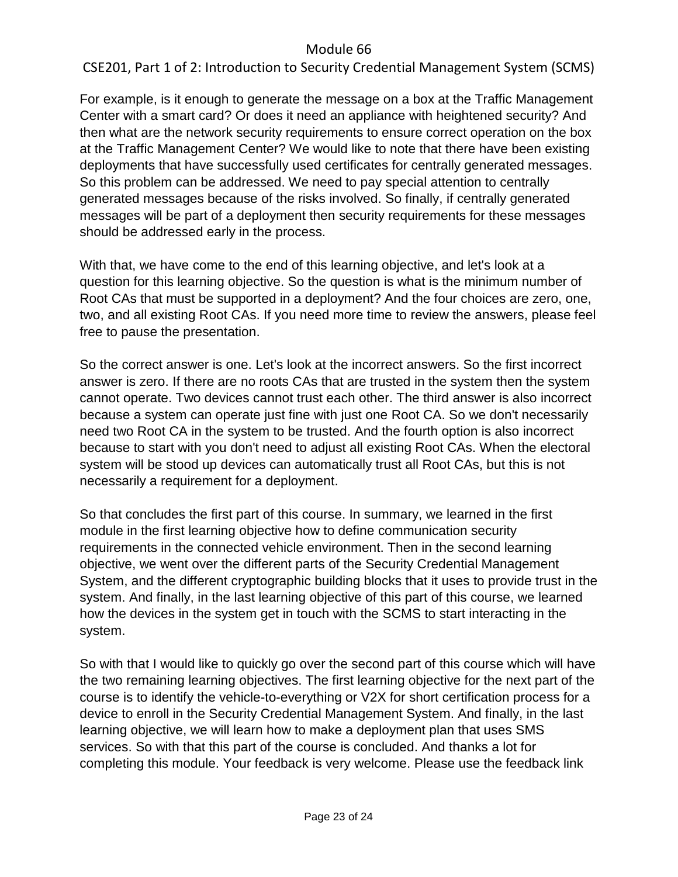CSE201, Part 1 of 2: Introduction to Security Credential Management System (SCMS)

For example, is it enough to generate the message on a box at the Traffic Management Center with a smart card? Or does it need an appliance with heightened security? And then what are the network security requirements to ensure correct operation on the box at the Traffic Management Center? We would like to note that there have been existing deployments that have successfully used certificates for centrally generated messages. So this problem can be addressed. We need to pay special attention to centrally generated messages because of the risks involved. So finally, if centrally generated messages will be part of a deployment then security requirements for these messages should be addressed early in the process.

With that, we have come to the end of this learning objective, and let's look at a question for this learning objective. So the question is what is the minimum number of Root CAs that must be supported in a deployment? And the four choices are zero, one, two, and all existing Root CAs. If you need more time to review the answers, please feel free to pause the presentation.

So the correct answer is one. Let's look at the incorrect answers. So the first incorrect answer is zero. If there are no roots CAs that are trusted in the system then the system cannot operate. Two devices cannot trust each other. The third answer is also incorrect because a system can operate just fine with just one Root CA. So we don't necessarily need two Root CA in the system to be trusted. And the fourth option is also incorrect because to start with you don't need to adjust all existing Root CAs. When the electoral system will be stood up devices can automatically trust all Root CAs, but this is not necessarily a requirement for a deployment.

So that concludes the first part of this course. In summary, we learned in the first module in the first learning objective how to define communication security requirements in the connected vehicle environment. Then in the second learning objective, we went over the different parts of the Security Credential Management System, and the different cryptographic building blocks that it uses to provide trust in the system. And finally, in the last learning objective of this part of this course, we learned how the devices in the system get in touch with the SCMS to start interacting in the system.

So with that I would like to quickly go over the second part of this course which will have the two remaining learning objectives. The first learning objective for the next part of the course is to identify the vehicle-to-everything or V2X for short certification process for a device to enroll in the Security Credential Management System. And finally, in the last learning objective, we will learn how to make a deployment plan that uses SMS services. So with that this part of the course is concluded. And thanks a lot for completing this module. Your feedback is very welcome. Please use the feedback link